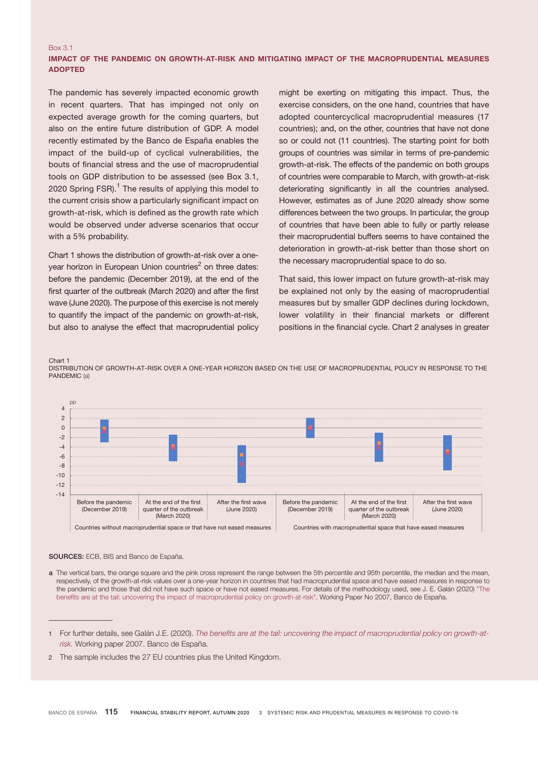## Box 3.1 IMPACT OF THE PANDEMIC ON GROWTH-AT-RISK AND MITIGATING IMPACT OF THE MACROPRUDENTIAL MEASURES ADOPTED

The pandemic has severely impacted economic growth in recent quarters. That has impinged not only on expected average growth for the coming quarters, but also on the entire future distribution of GDP. A model recently estimated by the Banco de España enables the impact of the build-up of cyclical vulnerabilities, the bouts of financial stress and the use of macroprudential tools on GDP distribution to be assessed (see Box 3.1, 2020 Spring FSR).<sup>1</sup> The results of applying this model to the current crisis show a particularly significant impact on growth-at-risk, which is defined as the growth rate which would be observed under adverse scenarios that occur with a 5% probability.

Chart 1 shows the distribution of growth-at-risk over a oneyear horizon in European Union countries<sup>2</sup> on three dates: before the pandemic (December 2019), at the end of the first quarter of the outbreak (March 2020) and after the first wave (June 2020). The purpose of this exercise is not merely to quantify the impact of the pandemic on growth-at-risk, but also to analyse the effect that macroprudential policy

might be exerting on mitigating this impact. Thus, the exercise considers, on the one hand, countries that have adopted countercyclical macroprudential measures (17 countries); and, on the other, countries that have not done so or could not (11 countries). The starting point for both groups of countries was similar in terms of pre-pandemic growth-at-risk. The effects of the pandemic on both groups of countries were comparable to March, with growth-at-risk deteriorating significantly in all the countries analysed. However, estimates as of June 2020 already show some differences between the two groups. In particular, the group of countries that have been able to fully or partly release their macroprudential buffers seems to have contained the deterioration in growth-at-risk better than those short on the necessary macroprudential space to do so.

That said, this lower impact on future growth-at-risk may be explained not only by the easing of macroprudential measures but by smaller GDP declines during lockdown, lower volatility in their financial markets or different positions in the financial cycle. Chart 2 analyses in greater

Chart 1

DISTRIBUTION OF GROWTH-AT-RISK OVER A ONE-YEAR HORIZON BASED ON THE USE OF MACROPRUDENTIAL POLICY IN RESPONSE TO THE PANDEMIC (a)



SOURCES: ECB, BIS and Banco de España.

a The vertical bars, the orange square and the pink cross represent the range between the 5th percentile and 95th percentile, the median and the mean, respectively, of the growth-at-risk values over a one-year horizon in countries that had macroprudential space and have eased measures in response to the pandemic and those that did not have such space or have not eased measures. For details of the methodology used, see J. E. Galán (2020[\) "The](https://www.bde.es/f/webbde/SES/Secciones/Publicaciones/PublicacionesSeriadas/DocumentosTrabajo/20/Files/dt2007e.pdf)  [benefits are at the tail: uncovering the impact of macroprudential policy on growth-at-risk",](https://www.bde.es/f/webbde/SES/Secciones/Publicaciones/PublicacionesSeriadas/DocumentosTrabajo/20/Files/dt2007e.pdf) Working Paper No 2007, Banco de España.

<sup>1</sup> For further details, see Galán J.E. (2020). [The benefits are at the tail: uncovering the impact of macroprudential policy on growth-at](https://www.bde.es/f/webbde/SES/Secciones/Publicaciones/PublicacionesSeriadas/DocumentosTrabajo/20/Files/dt2007e.pdf)[risk.](https://www.bde.es/f/webbde/SES/Secciones/Publicaciones/PublicacionesSeriadas/DocumentosTrabajo/20/Files/dt2007e.pdf) Working paper 2007. Banco de España.

<sup>2</sup> The sample includes the 27 EU countries plus the United Kingdom.